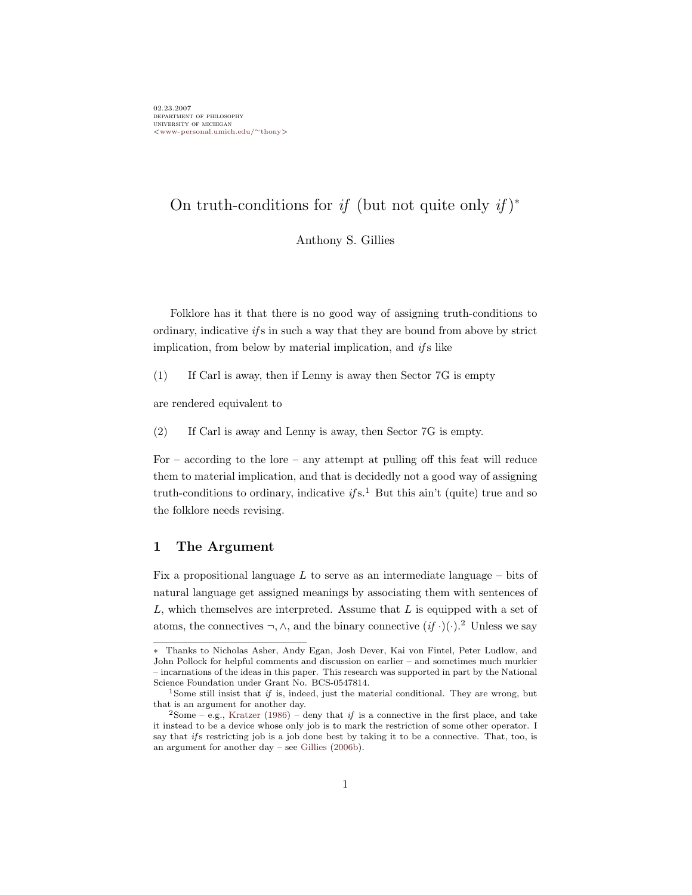# On truth-conditions for if (but not quite only if)<sup>\*</sup>

<span id="page-0-0"></span>Anthony S. Gillies

Folklore has it that there is no good way of assigning truth-conditions to ordinary, indicative  $if s$  in such a way that they are bound from above by strict implication, from below by material implication, and  $if s$  like

(1) If Carl is away, then if Lenny is away then Sector 7G is empty

<span id="page-0-1"></span>are rendered equivalent to

(2) If Carl is away and Lenny is away, then Sector 7G is empty.

For – according to the lore – any attempt at pulling off this feat will reduce them to material implication, and that is decidedly not a good way of assigning truth-conditions to ordinary, indicative if s.<sup>1</sup> But this ain't (quite) true and so the folklore needs revising.

## 1 The Argument

Fix a propositional language L to serve as an intermediate language – bits of natural language get assigned meanings by associating them with sentences of  $L$ , which themselves are interpreted. Assume that  $L$  is equipped with a set of atoms, the connectives ¬,  $\wedge$ , and the binary connective  $(if \cdot)(\cdot)$ .<sup>2</sup> Unless we say

<sup>∗</sup> Thanks to Nicholas Asher, Andy Egan, Josh Dever, Kai von Fintel, Peter Ludlow, and John Pollock for helpful comments and discussion on earlier – and sometimes much murkier – incarnations of the ideas in this paper. This research was supported in part by the National Science Foundation under Grant No. BCS-0547814.

<sup>&</sup>lt;sup>1</sup>Some still insist that if is, indeed, just the material conditional. They are wrong, but that is an argument for another day.

 $2$ Some – e.g., [Kratzer](#page-13-0) [\(1986\)](#page-13-0) – deny that if is a connective in the first place, and take it instead to be a device whose only job is to mark the restriction of some other operator. I say that if s restricting job is a job done best by taking it to be a connective. That, too, is an argument for another day – see [Gillies](#page-13-1) [\(2006b\)](#page-13-1).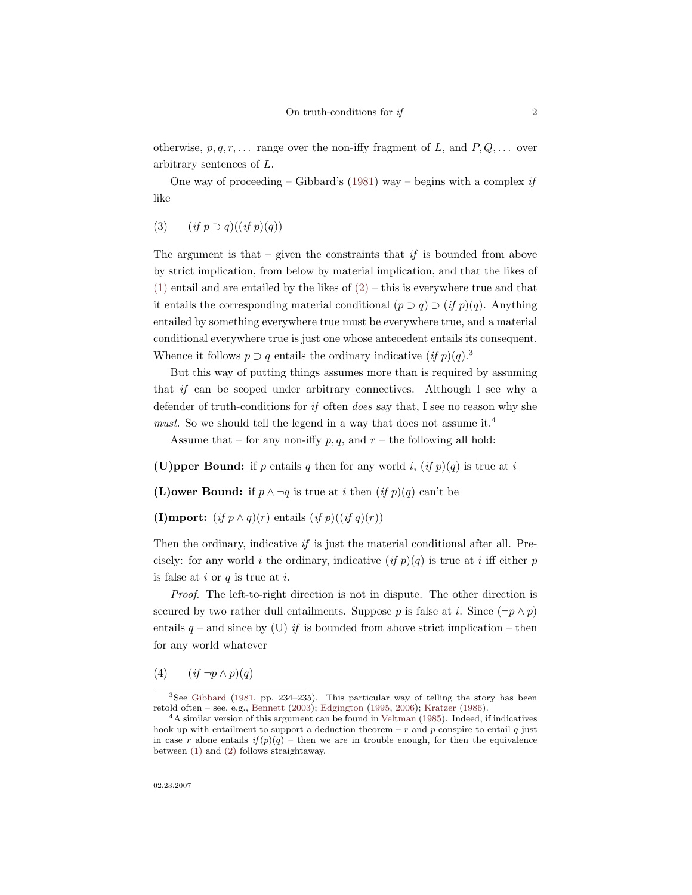otherwise,  $p, q, r, \ldots$  range over the non-iffy fragment of L, and  $P, Q, \ldots$  over arbitrary sentences of L.

One way of proceeding – Gibbard's [\(1981\)](#page-13-2) way – begins with a complex if like

(3)  $(if p \supset q)((if p)(q))$ 

The argument is that – given the constraints that if is bounded from above by strict implication, from below by material implication, and that the likes of [\(1\)](#page-0-0) entail and are entailed by the likes of  $(2)$  – this is everywhere true and that it entails the corresponding material conditional  $(p \supset q) \supset (if p)(q)$ . Anything entailed by something everywhere true must be everywhere true, and a material conditional everywhere true is just one whose antecedent entails its consequent. Whence it follows  $p \supset q$  entails the ordinary indicative  $(if p)(q).$ <sup>3</sup>

But this way of putting things assumes more than is required by assuming that if can be scoped under arbitrary connectives. Although I see why a defender of truth-conditions for if often does say that, I see no reason why she must. So we should tell the legend in a way that does not assume it.<sup>4</sup>

Assume that – for any non-iffy  $p, q$ , and  $r$  – the following all hold:

(U)pper Bound: if p entails q then for any world i,  $(if p)(q)$  is true at i

(L)ower Bound: if  $p \wedge \neg q$  is true at *i* then  $(if p)(q)$  can't be

(I)mport:  $(if p \wedge q)(r)$  entails  $(if p)((if q)(r))$ 

Then the ordinary, indicative if is just the material conditional after all. Precisely: for any world i the ordinary, indicative  $(if p)(q)$  is true at i iff either p is false at  $i$  or  $q$  is true at  $i$ .

Proof. The left-to-right direction is not in dispute. The other direction is secured by two rather dull entailments. Suppose p is false at i. Since  $(\neg p \land p)$ entails  $q$  – and since by (U) if is bounded from above strict implication – then for any world whatever

(4)  $(if \neg p \wedge p)(q)$ 

<sup>3</sup>See [Gibbard](#page-13-2) [\(1981,](#page-13-2) pp. 234–235). This particular way of telling the story has been retold often – see, e.g., [Bennett](#page-13-3) [\(2003\)](#page-13-3); [Edgington](#page-13-4) [\(1995,](#page-13-4) [2006\)](#page-13-5); [Kratzer](#page-13-0) [\(1986\)](#page-13-0).

<sup>4</sup>A similar version of this argument can be found in [Veltman](#page-13-6) [\(1985\)](#page-13-6). Indeed, if indicatives hook up with entailment to support a deduction theorem –  $r$  and  $p$  conspire to entail  $q$  just in case r alone entails  $if(p)(q)$  – then we are in trouble enough, for then the equivalence between [\(1\)](#page-0-0) and [\(2\)](#page-0-1) follows straightaway.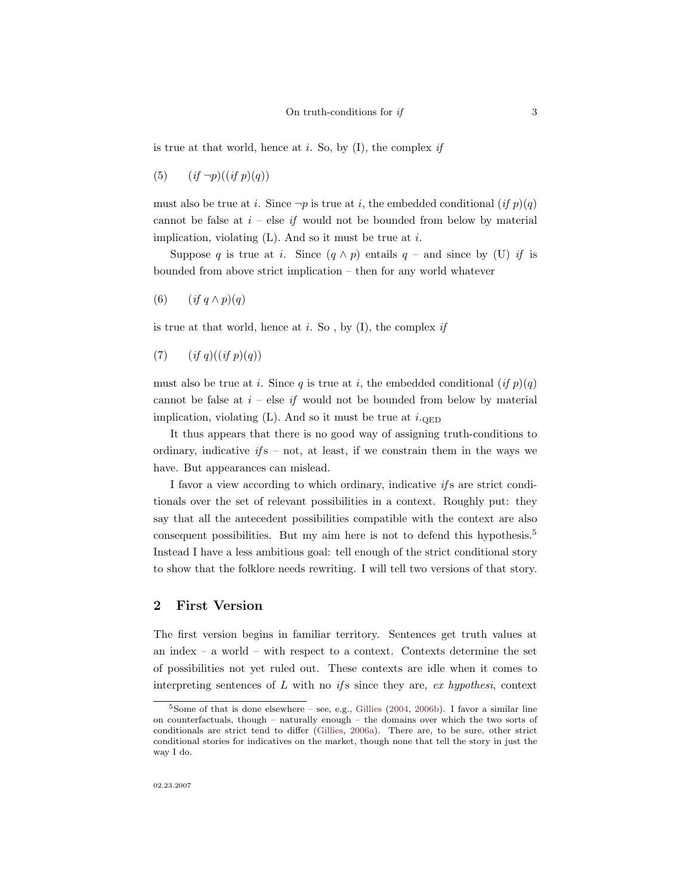is true at that world, hence at i. So, by  $(I)$ , the complex if

(5)  $(if \neg p)((if \ p)(q))$ 

must also be true at *i*. Since  $\neg p$  is true at *i*, the embedded conditional (*if*  $p$ )(*q*) cannot be false at  $i$  – else if would not be bounded from below by material implication, violating  $(L)$ . And so it must be true at i.

Suppose q is true at i. Since  $(q \wedge p)$  entails  $q$  – and since by (U) if is bounded from above strict implication – then for any world whatever

(6)  $(if q \wedge p)(q)$ 

is true at that world, hence at  $i$ . So, by  $(I)$ , the complex if

(7)  $(if\ q)((if\ p)(q))$ 

must also be true at i. Since q is true at i, the embedded conditional  $(if p)(q)$ cannot be false at  $i$  – else if would not be bounded from below by material implication, violating  $(L)$ . And so it must be true at  $i_{\text{QED}}$ 

It thus appears that there is no good way of assigning truth-conditions to ordinary, indicative  $if s - not$ , at least, if we constrain them in the ways we have. But appearances can mislead.

I favor a view according to which ordinary, indicative if s are strict conditionals over the set of relevant possibilities in a context. Roughly put: they say that all the antecedent possibilities compatible with the context are also consequent possibilities. But my aim here is not to defend this hypothesis.<sup>5</sup> Instead I have a less ambitious goal: tell enough of the strict conditional story to show that the folklore needs rewriting. I will tell two versions of that story.

### 2 First Version

The first version begins in familiar territory. Sentences get truth values at an index – a world – with respect to a context. Contexts determine the set of possibilities not yet ruled out. These contexts are idle when it comes to interpreting sentences of  $L$  with no if s since they are, ex hypothesi, context

<sup>5</sup>Some of that is done elsewhere – see, e.g., [Gillies](#page-13-7) [\(2004,](#page-13-7) [2006b\)](#page-13-1). I favor a similar line on counterfactuals, though – naturally enough – the domains over which the two sorts of conditionals are strict tend to differ [\(Gillies,](#page-13-8) [2006a\)](#page-13-8). There are, to be sure, other strict conditional stories for indicatives on the market, though none that tell the story in just the way I do.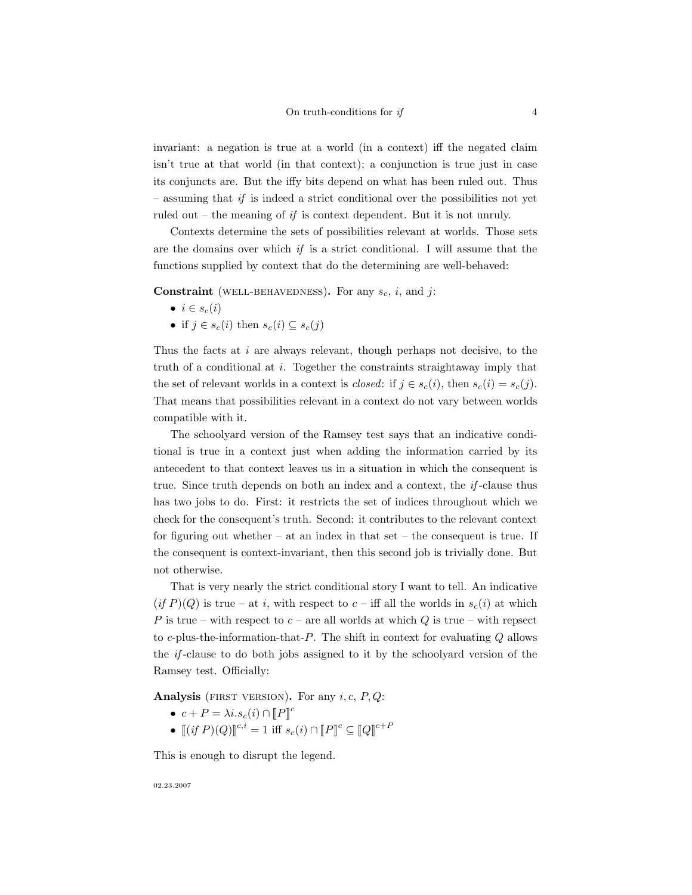invariant: a negation is true at a world (in a context) iff the negated claim isn't true at that world (in that context); a conjunction is true just in case its conjuncts are. But the iffy bits depend on what has been ruled out. Thus  $-$  assuming that if is indeed a strict conditional over the possibilities not yet ruled out – the meaning of if is context dependent. But it is not unruly.

Contexts determine the sets of possibilities relevant at worlds. Those sets are the domains over which  $if$  is a strict conditional. I will assume that the functions supplied by context that do the determining are well-behaved:

**Constraint** (WELL-BEHAVEDNESS). For any  $s_c$ , i, and j:

- $i \in s_c(i)$
- if  $j \in s_c(i)$  then  $s_c(i) \subseteq s_c(j)$

Thus the facts at  $i$  are always relevant, though perhaps not decisive, to the truth of a conditional at i. Together the constraints straightaway imply that the set of relevant worlds in a context is *closed*: if  $j \in s_c(i)$ , then  $s_c(i) = s_c(j)$ . That means that possibilities relevant in a context do not vary between worlds compatible with it.

The schoolyard version of the Ramsey test says that an indicative conditional is true in a context just when adding the information carried by its antecedent to that context leaves us in a situation in which the consequent is true. Since truth depends on both an index and a context, the if -clause thus has two jobs to do. First: it restricts the set of indices throughout which we check for the consequent's truth. Second: it contributes to the relevant context for figuring out whether – at an index in that set – the consequent is true. If the consequent is context-invariant, then this second job is trivially done. But not otherwise.

That is very nearly the strict conditional story I want to tell. An indicative  $(if P)(Q)$  is true – at i, with respect to  $c$  – iff all the worlds in  $s_c(i)$  at which P is true – with respect to  $c$  – are all worlds at which Q is true – with repsect to c-plus-the-information-that- $P$ . The shift in context for evaluating  $Q$  allows the if -clause to do both jobs assigned to it by the schoolyard version of the Ramsey test. Officially:

Analysis (FIRST VERSION). For any  $i, c, P, Q$ :

- $c + P = \lambda i.s_c(i) \cap [P]^c$
- $[(if P)(Q)]^{c,i} = 1 \text{ iff } s_c(i) \cap [P]^c \subseteq [Q]^{c+P}$

This is enough to disrupt the legend.

02.23.2007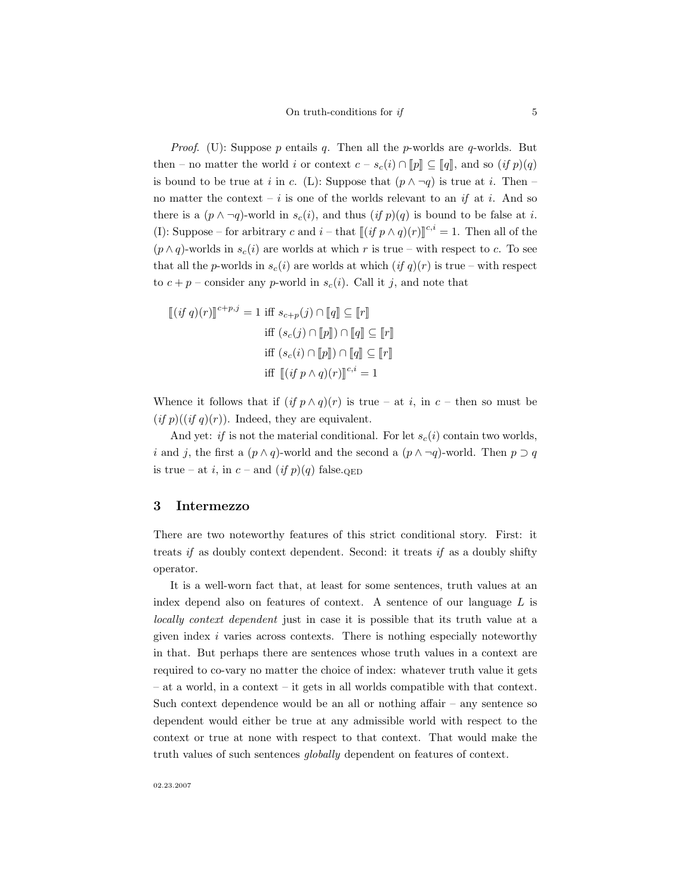*Proof.* (U): Suppose p entails q. Then all the p-worlds are q-worlds. But then – no matter the world i or context  $c - s_c(i) \cap ||p|| \subseteq ||q||$ , and so  $(if p)(q)$ is bound to be true at i in c. (L): Suppose that  $(p \land \neg q)$  is true at i. Then – no matter the context – i is one of the worlds relevant to an if at i. And so there is a  $(p \wedge \neg q)$ -world in  $s_c(i)$ , and thus  $(if p)(q)$  is bound to be false at i. (I): Suppose – for arbitrary c and  $i -$  that  $[[ (if p \wedge q)(r)]]^{c,i} = 1$ . Then all of the  $(p \wedge q)$ -worlds in  $s_c(i)$  are worlds at which r is true – with respect to c. To see that all the p-worlds in  $s_c(i)$  are worlds at which  $(if q)(r)$  is true – with respect to  $c + p$  – consider any p-world in  $s_c(i)$ . Call it j, and note that

$$
\begin{aligned} \left[ (if\ q)(r) \right]^{c+p,j} &= 1 \text{ iff } s_{c+p}(j) \cap \llbracket q \rrbracket \subseteq \llbracket r \rrbracket \\ \text{ iff } \left( s_c(j) \cap \llbracket p \rrbracket \right) \cap \llbracket q \rrbracket \subseteq \llbracket r \rrbracket \\ \text{ iff } \left( s_c(i) \cap \llbracket p \rrbracket \right) \cap \llbracket q \rrbracket \subseteq \llbracket r \rrbracket \\ \text{ iff } \left[ (if\ p \land q)(r) \right]^{c,i} &= 1 \end{aligned}
$$

Whence it follows that if  $(if p \wedge q)(r)$  is true – at i, in c – then so must be  $(if p)((if q)(r))$ . Indeed, they are equivalent.

And yet: if is not the material conditional. For let  $s_c(i)$  contain two worlds, i and j, the first a  $(p \wedge q)$ -world and the second a  $(p \wedge \neg q)$ -world. Then  $p \supset q$ is true – at i, in  $c$  – and  $(if p)(q)$  false.

### 3 Intermezzo

There are two noteworthy features of this strict conditional story. First: it treats if as doubly context dependent. Second: it treats if as a doubly shifty operator.

It is a well-worn fact that, at least for some sentences, truth values at an index depend also on features of context. A sentence of our language  $L$  is locally context dependent just in case it is possible that its truth value at a given index i varies across contexts. There is nothing especially noteworthy in that. But perhaps there are sentences whose truth values in a context are required to co-vary no matter the choice of index: whatever truth value it gets – at a world, in a context – it gets in all worlds compatible with that context. Such context dependence would be an all or nothing affair – any sentence so dependent would either be true at any admissible world with respect to the context or true at none with respect to that context. That would make the truth values of such sentences globally dependent on features of context.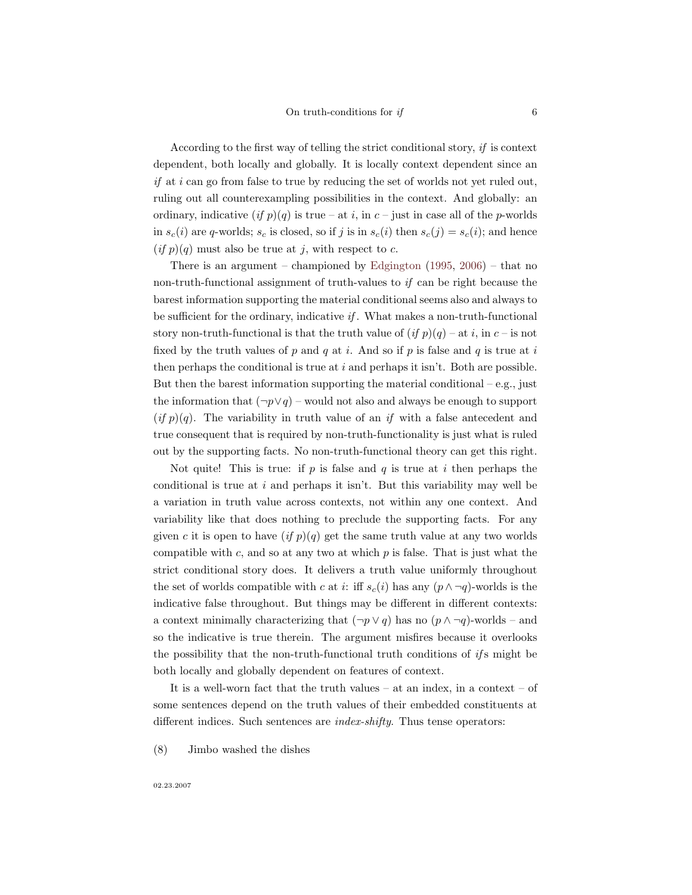According to the first way of telling the strict conditional story, if is context dependent, both locally and globally. It is locally context dependent since an if at i can go from false to true by reducing the set of worlds not yet ruled out, ruling out all counterexampling possibilities in the context. And globally: an ordinary, indicative  $(if p)(q)$  is true – at i, in c – just in case all of the p-worlds in  $s_c(i)$  are q-worlds;  $s_c$  is closed, so if j is in  $s_c(i)$  then  $s_c(j) = s_c(i)$ ; and hence  $(if p)(q)$  must also be true at j, with respect to c.

There is an argument – championed by [Edgington](#page-13-4)  $(1995, 2006)$  $(1995, 2006)$  $(1995, 2006)$  – that no non-truth-functional assignment of truth-values to if can be right because the barest information supporting the material conditional seems also and always to be sufficient for the ordinary, indicative if . What makes a non-truth-functional story non-truth-functional is that the truth value of  $(if p)(q)$  – at i, in c – is not fixed by the truth values of p and q at i. And so if p is false and q is true at i then perhaps the conditional is true at  $i$  and perhaps it isn't. Both are possible. But then the barest information supporting the material conditional – e.g., just the information that  $(\neg p \lor q)$  – would not also and always be enough to support  $(if p)(q)$ . The variability in truth value of an if with a false antecedent and true consequent that is required by non-truth-functionality is just what is ruled out by the supporting facts. No non-truth-functional theory can get this right.

Not quite! This is true: if  $p$  is false and  $q$  is true at i then perhaps the conditional is true at  $i$  and perhaps it isn't. But this variability may well be a variation in truth value across contexts, not within any one context. And variability like that does nothing to preclude the supporting facts. For any given c it is open to have  $(if\ p)(q)$  get the same truth value at any two worlds compatible with  $c$ , and so at any two at which  $p$  is false. That is just what the strict conditional story does. It delivers a truth value uniformly throughout the set of worlds compatible with c at i: iff  $s_c(i)$  has any  $(p \wedge \neg q)$ -worlds is the indicative false throughout. But things may be different in different contexts: a context minimally characterizing that  $(\neg p \lor q)$  has no  $(p \land \neg q)$ -worlds – and so the indicative is true therein. The argument misfires because it overlooks the possibility that the non-truth-functional truth conditions of  $ifs$  might be both locally and globally dependent on features of context.

It is a well-worn fact that the truth values – at an index, in a context – of some sentences depend on the truth values of their embedded constituents at different indices. Such sentences are *index-shifty*. Thus tense operators:

(8) Jimbo washed the dishes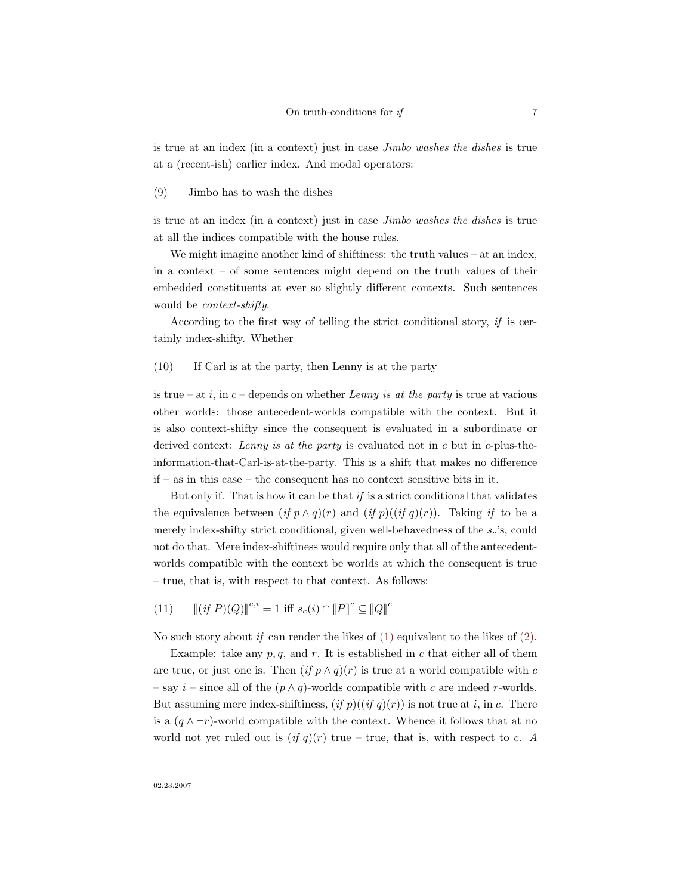is true at an index (in a context) just in case Jimbo washes the dishes is true at a (recent-ish) earlier index. And modal operators:

(9) Jimbo has to wash the dishes

is true at an index (in a context) just in case Jimbo washes the dishes is true at all the indices compatible with the house rules.

We might imagine another kind of shiftiness: the truth values – at an index, in a context – of some sentences might depend on the truth values of their embedded constituents at ever so slightly different contexts. Such sentences would be context-shifty.

According to the first way of telling the strict conditional story, if is certainly index-shifty. Whether

(10) If Carl is at the party, then Lenny is at the party

is true – at i, in  $c$  – depends on whether Lenny is at the party is true at various other worlds: those antecedent-worlds compatible with the context. But it is also context-shifty since the consequent is evaluated in a subordinate or derived context: Lenny is at the party is evaluated not in c but in c-plus-theinformation-that-Carl-is-at-the-party. This is a shift that makes no difference if – as in this case – the consequent has no context sensitive bits in it.

But only if. That is how it can be that  $if$  is a strict conditional that validates the equivalence between  $(if p \wedge q)(r)$  and  $(if p)((if q)(r))$ . Taking if to be a merely index-shifty strict conditional, given well-behavedness of the  $s_c$ 's, could not do that. Mere index-shiftiness would require only that all of the antecedentworlds compatible with the context be worlds at which the consequent is true – true, that is, with respect to that context. As follows:

(11)  $[(if P)(Q)]^{c,i} = 1 \text{ iff } s_c(i) \cap [P]^c \subseteq [Q]^c$ 

No such story about if can render the likes of  $(1)$  equivalent to the likes of  $(2)$ .

Example: take any  $p, q$ , and  $r$ . It is established in  $c$  that either all of them are true, or just one is. Then  $(if p \wedge q)(r)$  is true at a world compatible with c – say  $i$  – since all of the  $(p \wedge q)$ -worlds compatible with c are indeed r-worlds. But assuming mere index-shiftiness,  $(if p)((if q)(r))$  is not true at i, in c. There is a  $(q \wedge \neg r)$ -world compatible with the context. Whence it follows that at no world not yet ruled out is  $(if q)(r)$  true – true, that is, with respect to c. A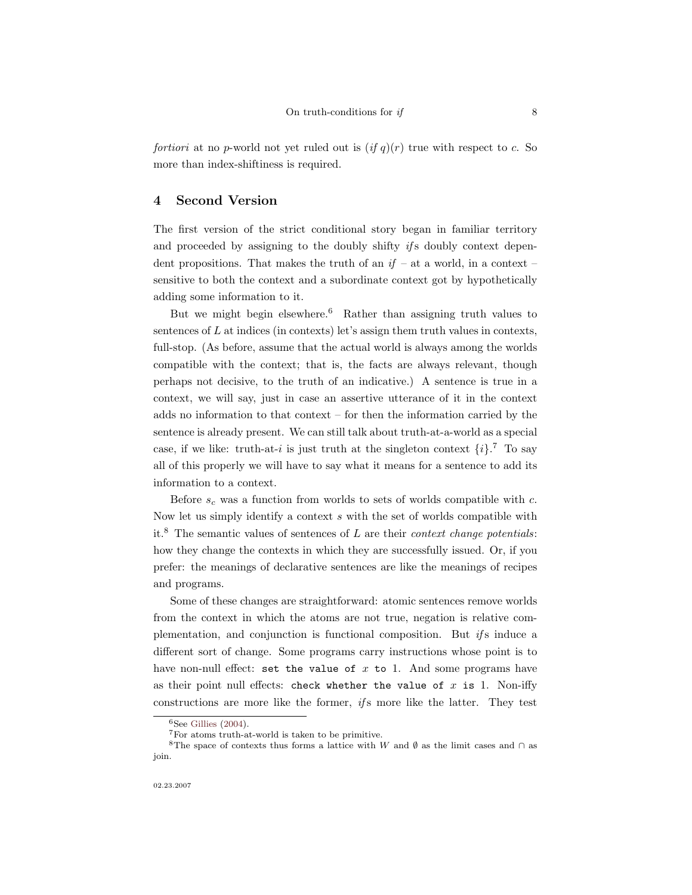fortiori at no p-world not yet ruled out is  $(if q)(r)$  true with respect to c. So more than index-shiftiness is required.

# 4 Second Version

The first version of the strict conditional story began in familiar territory and proceeded by assigning to the doubly shifty  $if$ s doubly context dependent propositions. That makes the truth of an  $if - at a$  world, in a context – sensitive to both the context and a subordinate context got by hypothetically adding some information to it.

But we might begin elsewhere.<sup>6</sup> Rather than assigning truth values to sentences of  $L$  at indices (in contexts) let's assign them truth values in contexts, full-stop. (As before, assume that the actual world is always among the worlds compatible with the context; that is, the facts are always relevant, though perhaps not decisive, to the truth of an indicative.) A sentence is true in a context, we will say, just in case an assertive utterance of it in the context adds no information to that context – for then the information carried by the sentence is already present. We can still talk about truth-at-a-world as a special case, if we like: truth-at-i is just truth at the singleton context  $\{i\}$ .<sup>7</sup> To say all of this properly we will have to say what it means for a sentence to add its information to a context.

Before  $s_c$  was a function from worlds to sets of worlds compatible with c. Now let us simply identify a context s with the set of worlds compatible with it.<sup>8</sup> The semantic values of sentences of  $L$  are their *context change potentials*: how they change the contexts in which they are successfully issued. Or, if you prefer: the meanings of declarative sentences are like the meanings of recipes and programs.

Some of these changes are straightforward: atomic sentences remove worlds from the context in which the atoms are not true, negation is relative complementation, and conjunction is functional composition. But if s induce a different sort of change. Some programs carry instructions whose point is to have non-null effect: set the value of  $x$  to 1. And some programs have as their point null effects: check whether the value of  $x$  is 1. Non-iffy constructions are more like the former,  $if s$  more like the latter. They test

 ${}^{6}$ See [Gillies](#page-13-7) [\(2004\)](#page-13-7).

<sup>7</sup>For atoms truth-at-world is taken to be primitive.

<sup>&</sup>lt;sup>8</sup>The space of contexts thus forms a lattice with W and Ø as the limit cases and ∩ as join.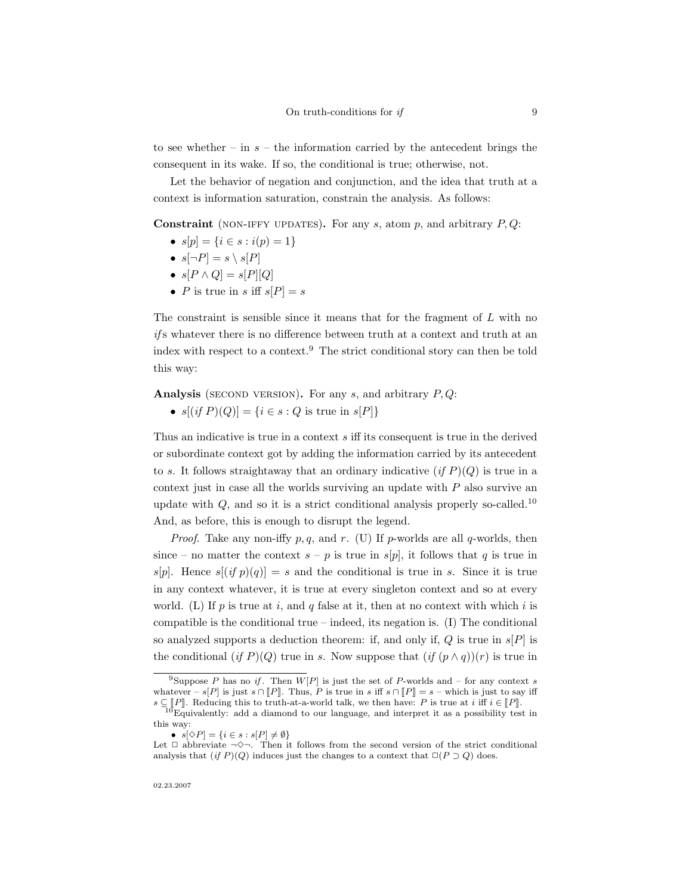to see whether – in  $s$  – the information carried by the antecedent brings the consequent in its wake. If so, the conditional is true; otherwise, not.

Let the behavior of negation and conjunction, and the idea that truth at a context is information saturation, constrain the analysis. As follows:

**Constraint** (NON-IFFY UPDATES). For any s, atom p, and arbitrary  $P, Q$ :

- $s[p] = \{i \in s : i(p) = 1\}$
- $s[\neg P] = s \setminus s[P]$
- $s[P \wedge Q] = s[P][Q]$
- P is true in s iff  $s[P] = s$

The constraint is sensible since it means that for the fragment of  $L$  with no ifs whatever there is no difference between truth at a context and truth at an index with respect to a context.<sup>9</sup> The strict conditional story can then be told this way:

Analysis (SECOND VERSION). For any s, and arbitrary  $P, Q$ :

•  $s[(if P)(Q)] = {i \in s : Q \text{ is true in } s[P]}$ 

Thus an indicative is true in a context s iff its consequent is true in the derived or subordinate context got by adding the information carried by its antecedent to s. It follows straightaway that an ordinary indicative  $(if P)(Q)$  is true in a context just in case all the worlds surviving an update with  $P$  also survive an update with  $Q$ , and so it is a strict conditional analysis properly so-called.<sup>10</sup> And, as before, this is enough to disrupt the legend.

*Proof.* Take any non-iffy p, q, and r. (U) If p-worlds are all q-worlds, then since – no matter the context  $s - p$  is true in  $s[p]$ , it follows that q is true in  $s[p]$ . Hence  $s[(if p)(q)] = s$  and the conditional is true in s. Since it is true in any context whatever, it is true at every singleton context and so at every world. (L) If p is true at i, and q false at it, then at no context with which i is compatible is the conditional true – indeed, its negation is.  $(I)$  The conditional so analyzed supports a deduction theorem: if, and only if,  $Q$  is true in  $s[P]$  is the conditional (if P)(Q) true in s. Now suppose that  $(if (p \wedge q))(r)$  is true in

02.23.2007

<sup>&</sup>lt;sup>9</sup>Suppose P has no if. Then  $W[P]$  is just the set of P-worlds and – for any context s whatever – s[P] is just s ∩  $[P\!]$ . Thus, P is true in s iff s ∩  $[P\!] = s$  – which is just to say iff  $e \subset \mathbb{F}P\mathbb{F}$  Beducing this to truth at a world talk, we then have: P is true at  $i$  if  $i \subset \mathbb{F}P\mathbb{F}$ 

 $s \subseteq [P]$ . Reducing this to truth-at-a-world talk, we then have: P is true at i iff  $i \in [P]$ .<br><sup>10</sup>Equivalently: add a diamond to our language, and interpret it as a possibility test in this way:

<sup>•</sup>  $s[\Diamond P] = \{i \in s : s[P] \neq \emptyset\}$ 

Let  $\Box$  abbreviate  $\neg \Diamond \neg$ . Then it follows from the second version of the strict conditional analysis that  $(if P)(Q)$  induces just the changes to a context that  $\Box(P \supset Q)$  does.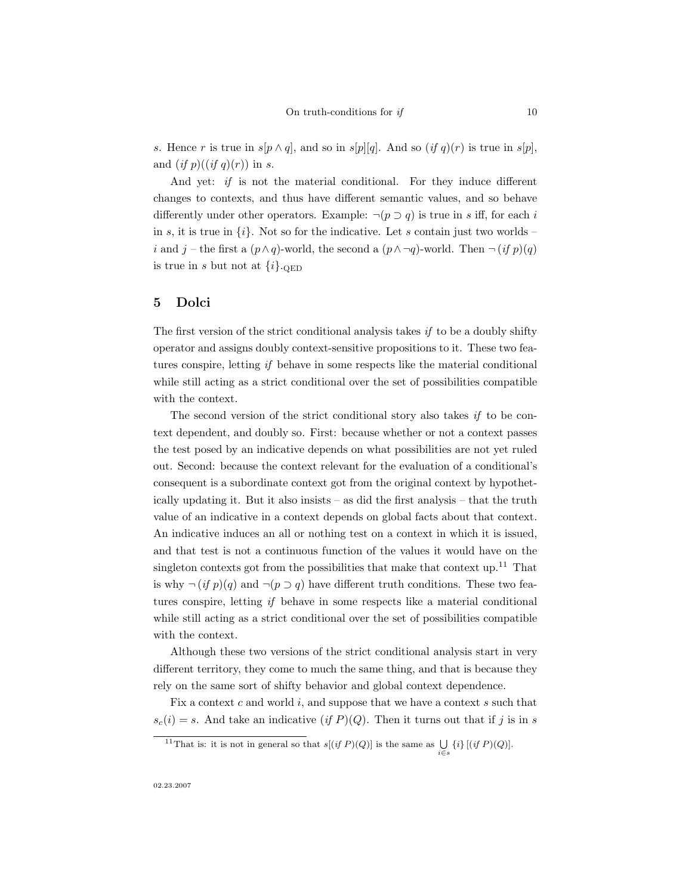s. Hence r is true in  $s[p \wedge q]$ , and so in  $s[p][q]$ . And so  $(if q)(r)$  is true in  $s[p]$ , and  $(if p)((if q)(r))$  in s.

And yet: *if* is not the material conditional. For they induce different changes to contexts, and thus have different semantic values, and so behave differently under other operators. Example:  $\neg (p \supset q)$  is true in s iff, for each i in s, it is true in  $\{i\}$ . Not so for the indicative. Let s contain just two worlds – i and j – the first a  $(p \wedge q)$ -world, the second a  $(p \wedge \neg q)$ -world. Then  $\neg (if p)(q)$ is true in s but not at  $\{i\}$ . QED

#### 5 Dolci

The first version of the strict conditional analysis takes  $if$  to be a doubly shifty operator and assigns doubly context-sensitive propositions to it. These two features conspire, letting if behave in some respects like the material conditional while still acting as a strict conditional over the set of possibilities compatible with the context.

The second version of the strict conditional story also takes  $if$  to be context dependent, and doubly so. First: because whether or not a context passes the test posed by an indicative depends on what possibilities are not yet ruled out. Second: because the context relevant for the evaluation of a conditional's consequent is a subordinate context got from the original context by hypothetically updating it. But it also insists – as did the first analysis – that the truth value of an indicative in a context depends on global facts about that context. An indicative induces an all or nothing test on a context in which it is issued, and that test is not a continuous function of the values it would have on the singleton contexts got from the possibilities that make that context up.<sup>11</sup> That is why  $\neg (if p)(q)$  and  $\neg (p \supset q)$  have different truth conditions. These two features conspire, letting if behave in some respects like a material conditional while still acting as a strict conditional over the set of possibilities compatible with the context.

Although these two versions of the strict conditional analysis start in very different territory, they come to much the same thing, and that is because they rely on the same sort of shifty behavior and global context dependence.

Fix a context  $c$  and world  $i$ , and suppose that we have a context  $s$  such that  $s_c(i) = s$ . And take an indicative  $(if P)(Q)$ . Then it turns out that if j is in s

<sup>&</sup>lt;sup>11</sup>That is: it is not in general so that  $s[(if P)(Q)]$  is the same as  $\bigcup_{i \in s} \{i\} [(if P)(Q)].$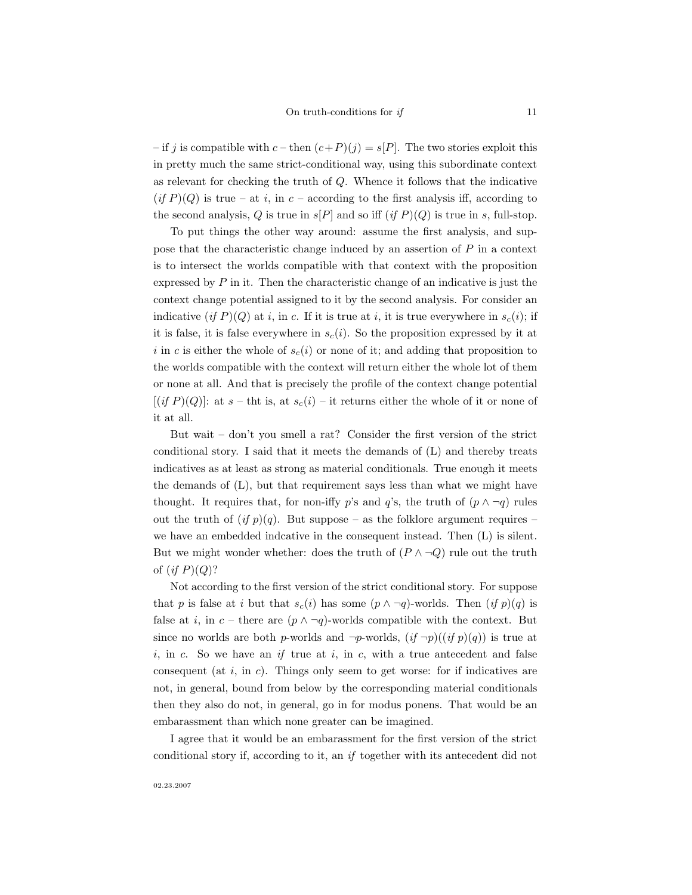– if j is compatible with  $c$  – then  $(c+P)(j) = s[P]$ . The two stories exploit this in pretty much the same strict-conditional way, using this subordinate context as relevant for checking the truth of Q. Whence it follows that the indicative  $(if P)(Q)$  is true – at i, in c – according to the first analysis iff, according to the second analysis, Q is true in  $s[P]$  and so iff  $(if P)(Q)$  is true in s, full-stop.

To put things the other way around: assume the first analysis, and suppose that the characteristic change induced by an assertion of  $P$  in a context is to intersect the worlds compatible with that context with the proposition expressed by  $P$  in it. Then the characteristic change of an indicative is just the context change potential assigned to it by the second analysis. For consider an indicative (if P)(Q) at i, in c. If it is true at i, it is true everywhere in  $s_c(i)$ ; if it is false, it is false everywhere in  $s_c(i)$ . So the proposition expressed by it at i in c is either the whole of  $s_c(i)$  or none of it; and adding that proposition to the worlds compatible with the context will return either the whole lot of them or none at all. And that is precisely the profile of the context change potential  $[(if P)(Q)]$ : at  $s$  – tht is, at  $s_c(i)$  – it returns either the whole of it or none of it at all.

But wait – don't you smell a rat? Consider the first version of the strict conditional story. I said that it meets the demands of (L) and thereby treats indicatives as at least as strong as material conditionals. True enough it meets the demands of (L), but that requirement says less than what we might have thought. It requires that, for non-iffy p's and q's, the truth of  $(p \land \neg q)$  rules out the truth of  $(if p)(q)$ . But suppose – as the folklore argument requires – we have an embedded indcative in the consequent instead. Then (L) is silent. But we might wonder whether: does the truth of  $(P \land \neg Q)$  rule out the truth of  $(if P)(Q)$ ?

Not according to the first version of the strict conditional story. For suppose that p is false at i but that  $s_c(i)$  has some  $(p \land \neg q)$ -worlds. Then  $(if p)(q)$  is false at i, in c – there are  $(p \land \neg q)$ -worlds compatible with the context. But since no worlds are both p-worlds and  $\neg p$ -worlds,  $(if \neg p)((if \ p)(q))$  is true at i, in c. So we have an if true at i, in c, with a true antecedent and false consequent (at  $i$ , in  $c$ ). Things only seem to get worse: for if indicatives are not, in general, bound from below by the corresponding material conditionals then they also do not, in general, go in for modus ponens. That would be an embarassment than which none greater can be imagined.

I agree that it would be an embarassment for the first version of the strict conditional story if, according to it, an if together with its antecedent did not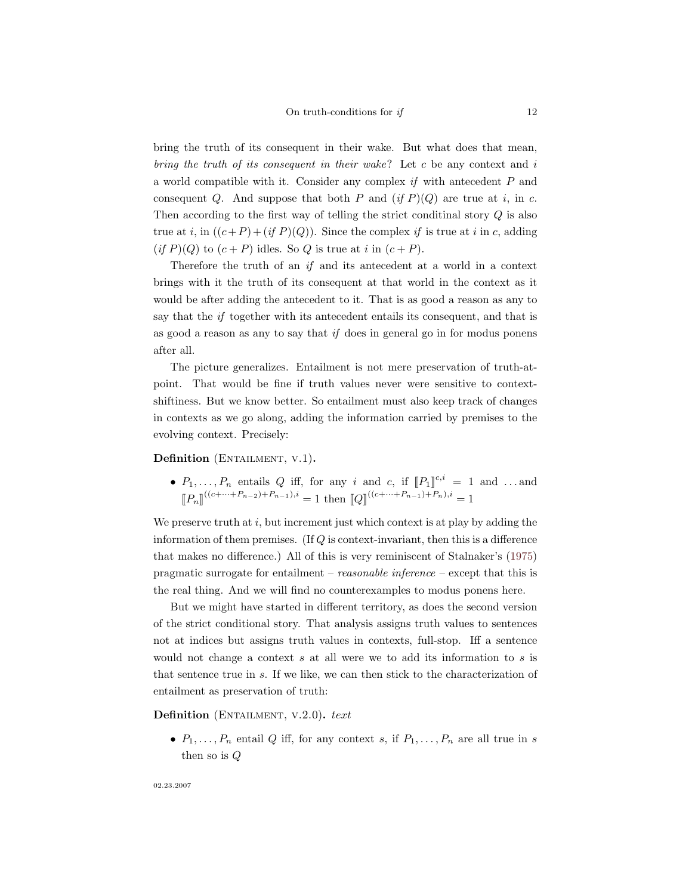bring the truth of its consequent in their wake. But what does that mean, bring the truth of its consequent in their wake? Let c be any context and i a world compatible with it. Consider any complex if with antecedent P and consequent Q. And suppose that both P and  $(if P)(Q)$  are true at i, in c. Then according to the first way of telling the strict conditinal story Q is also true at i, in  $((c+P)+(if P)(Q))$ . Since the complex if is true at i in c, adding  $(if P)(Q)$  to  $(c + P)$  idles. So Q is true at i in  $(c + P)$ .

Therefore the truth of an if and its antecedent at a world in a context brings with it the truth of its consequent at that world in the context as it would be after adding the antecedent to it. That is as good a reason as any to say that the *if* together with its antecedent entails its consequent, and that is as good a reason as any to say that  $if$  does in general go in for modus ponens after all.

The picture generalizes. Entailment is not mere preservation of truth-atpoint. That would be fine if truth values never were sensitive to contextshiftiness. But we know better. So entailment must also keep track of changes in contexts as we go along, adding the information carried by premises to the evolving context. Precisely:

## Definition (ENTAILMENT, V.1).

•  $P_1, \ldots, P_n$  entails  $Q$  iff, for any i and  $c$ , if  $[P_1]^{c,i} = 1$  and ...and  $\llbracket P_n \rrbracket^{((c+\cdots+P_{n-2})+P_{n-1}),i} = 1$  then  $\llbracket Q \rrbracket^{((c+\cdots+P_{n-1})+P_n),i} = 1$ 

We preserve truth at  $i$ , but increment just which context is at play by adding the information of them premises. (If  $Q$  is context-invariant, then this is a difference that makes no difference.) All of this is very reminiscent of Stalnaker's [\(1975\)](#page-13-9) pragmatic surrogate for entailment – reasonable inference – except that this is the real thing. And we will find no counterexamples to modus ponens here.

But we might have started in different territory, as does the second version of the strict conditional story. That analysis assigns truth values to sentences not at indices but assigns truth values in contexts, full-stop. Iff a sentence would not change a context  $s$  at all were we to add its information to  $s$  is that sentence true in s. If we like, we can then stick to the characterization of entailment as preservation of truth:

Definition (ENTAILMENT, V.2.0). text

•  $P_1, \ldots, P_n$  entail Q iff, for any context s, if  $P_1, \ldots, P_n$  are all true in s then so is Q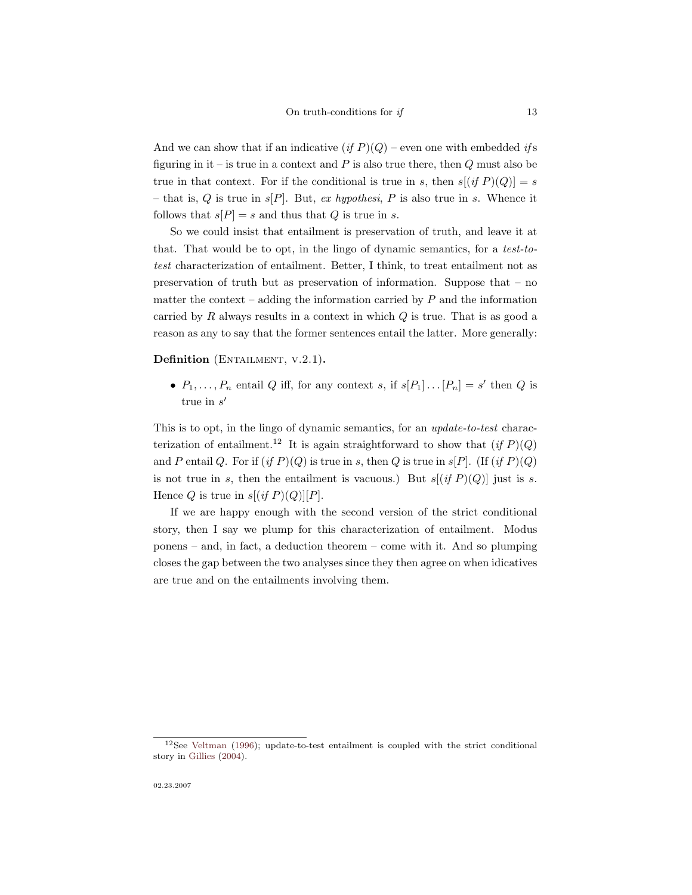And we can show that if an indicative  $(if P)(Q)$  – even one with embedded if s figuring in it – is true in a context and  $P$  is also true there, then  $Q$  must also be true in that context. For if the conditional is true in s, then  $s[(if P)(Q)] = s$ – that is, Q is true in  $s[P]$ . But, ex hypothesi, P is also true in s. Whence it follows that  $s[P] = s$  and thus that Q is true in s.

So we could insist that entailment is preservation of truth, and leave it at that. That would be to opt, in the lingo of dynamic semantics, for a test-totest characterization of entailment. Better, I think, to treat entailment not as preservation of truth but as preservation of information. Suppose that – no matter the context – adding the information carried by  $P$  and the information carried by  $R$  always results in a context in which  $Q$  is true. That is as good a reason as any to say that the former sentences entail the latter. More generally:

Definition (ENTAILMENT, V.2.1).

•  $P_1, \ldots, P_n$  entail Q iff, for any context s, if  $s[P_1] \ldots [P_n] = s'$  then Q is true in  $s'$ 

This is to opt, in the lingo of dynamic semantics, for an update-to-test characterization of entailment.<sup>12</sup> It is again straightforward to show that  $(if P)(Q)$ and P entail Q. For if  $(if P)(Q)$  is true in s, then Q is true in s[P]. (If  $(if P)(Q)$ ) is not true in s, then the entailment is vacuous.) But  $s[(if P)(Q)]$  just is s. Hence Q is true in  $s[(if P)(Q)][P]$ .

If we are happy enough with the second version of the strict conditional story, then I say we plump for this characterization of entailment. Modus ponens – and, in fact, a deduction theorem – come with it. And so plumping closes the gap between the two analyses since they then agree on when idicatives are true and on the entailments involving them.

<sup>12</sup>See [Veltman](#page-13-10) [\(1996\)](#page-13-10); update-to-test entailment is coupled with the strict conditional story in [Gillies](#page-13-7) [\(2004\)](#page-13-7).